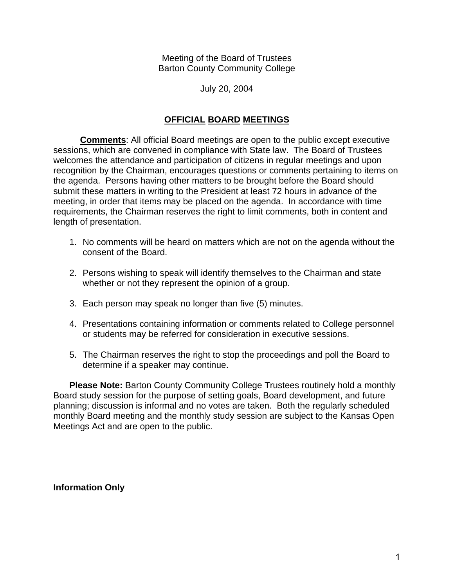Meeting of the Board of Trustees Barton County Community College

July 20, 2004

## **OFFICIAL BOARD MEETINGS**

**Comments**: All official Board meetings are open to the public except executive sessions, which are convened in compliance with State law. The Board of Trustees welcomes the attendance and participation of citizens in regular meetings and upon recognition by the Chairman, encourages questions or comments pertaining to items on the agenda. Persons having other matters to be brought before the Board should submit these matters in writing to the President at least 72 hours in advance of the meeting, in order that items may be placed on the agenda. In accordance with time requirements, the Chairman reserves the right to limit comments, both in content and length of presentation.

- 1. No comments will be heard on matters which are not on the agenda without the consent of the Board.
- 2. Persons wishing to speak will identify themselves to the Chairman and state whether or not they represent the opinion of a group.
- 3. Each person may speak no longer than five (5) minutes.
- 4. Presentations containing information or comments related to College personnel or students may be referred for consideration in executive sessions.
- 5. The Chairman reserves the right to stop the proceedings and poll the Board to determine if a speaker may continue.

**Please Note:** Barton County Community College Trustees routinely hold a monthly Board study session for the purpose of setting goals, Board development, and future planning; discussion is informal and no votes are taken. Both the regularly scheduled monthly Board meeting and the monthly study session are subject to the Kansas Open Meetings Act and are open to the public.

**Information Only**